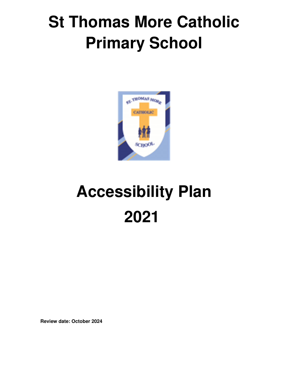# **St Thomas More Catholic Primary School**



# **Accessibility Plan 2021**

**Review date: October 2024**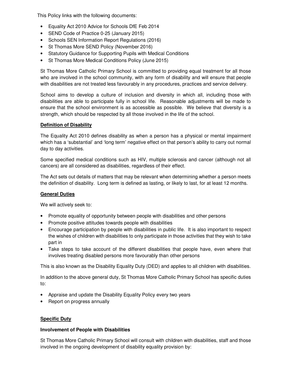This Policy links with the following documents:

- Equality Act 2010 Advice for Schools DfE Feb 2014
- SEND Code of Practice 0-25 (January 2015)
- Schools SEN Information Report Regulations (2016)
- St Thomas More SEND Policy (November 2016)
- Statutory Guidance for Supporting Pupils with Medical Conditions
- St Thomas More Medical Conditions Policy (June 2015)

St Thomas More Catholic Primary School is committed to providing equal treatment for all those who are involved in the school community, with any form of disability and will ensure that people with disabilities are not treated less favourably in any procedures, practices and service delivery.

School aims to develop a culture of inclusion and diversity in which all, including those with disabilities are able to participate fully in school life. Reasonable adjustments will be made to ensure that the school environment is as accessible as possible. We believe that diversity is a strength, which should be respected by all those involved in the life of the school.

#### **Definition of Disability**

The Equality Act 2010 defines disability as when a person has a physical or mental impairment which has a 'substantial' and 'long term' negative effect on that person's ability to carry out normal day to day activities.

Some specified medical conditions such as HIV, multiple sclerosis and cancer (although not all cancers) are all considered as disabilities, regardless of their effect.

The Act sets out details of matters that may be relevant when determining whether a person meets the definition of disability. Long term is defined as lasting, or likely to last, for at least 12 months.

## **General Duties**

We will actively seek to:

- Promote equality of opportunity between people with disabilities and other persons
- Promote positive attitudes towards people with disabilities
- Encourage participation by people with disabilities in public life. It is also important to respect the wishes of children with disabilities to only participate in those activities that they wish to take part in
- Take steps to take account of the different disabilities that people have, even where that involves treating disabled persons more favourably than other persons

This is also known as the Disability Equality Duty (DED) and applies to all children with disabilities.

In addition to the above general duty, St Thomas More Catholic Primary School has specific duties to:

- Appraise and update the Disability Equality Policy every two years
- Report on progress annually

## **Specific Duty**

#### **Involvement of People with Disabilities**

St Thomas More Catholic Primary School will consult with children with disabilities, staff and those involved in the ongoing development of disability equality provision by: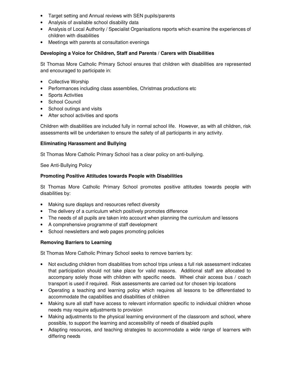- Target setting and Annual reviews with SEN pupils/parents
- Analysis of available school disability data
- Analysis of Local Authority / Specialist Organisations reports which examine the experiences of children with disabilities
- Meetings with parents at consultation evenings

#### **Developing a Voice for Children, Staff and Parents / Carers with Disabilities**

St Thomas More Catholic Primary School ensures that children with disabilities are represented and encouraged to participate in:

- Collective Worship
- Performances including class assemblies, Christmas productions etc
- Sports Activities
- School Council
- School outings and visits
- After school activities and sports

Children with disabilities are included fully in normal school life. However, as with all children, risk assessments will be undertaken to ensure the safety of all participants in any activity.

#### **Eliminating Harassment and Bullying**

St Thomas More Catholic Primary School has a clear policy on anti-bullying.

See Anti-Bullying Policy

#### **Promoting Positive Attitudes towards People with Disabilities**

St Thomas More Catholic Primary School promotes positive attitudes towards people with disabilities by:

- Making sure displays and resources reflect diversity
- The delivery of a curriculum which positively promotes difference
- The needs of all pupils are taken into account when planning the curriculum and lessons
- A comprehensive programme of staff development
- School newsletters and web pages promoting policies

#### **Removing Barriers to Learning**

St Thomas More Catholic Primary School seeks to remove barriers by:

- Not excluding children from disabilities from school trips unless a full risk assessment indicates that participation should not take place for valid reasons. Additional staff are allocated to accompany solely those with children with specific needs. Wheel chair access bus / coach transport is used if required. Risk assessments are carried out for chosen trip locations
- Operating a teaching and learning policy which requires all lessons to be differentiated to accommodate the capabilities and disabilities of children
- Making sure all staff have access to relevant information specific to individual children whose needs may require adjustments to provision
- Making adjustments to the physical learning environment of the classroom and school, where possible, to support the learning and accessibility of needs of disabled pupils
- Adapting resources, and teaching strategies to accommodate a wide range of learners with differing needs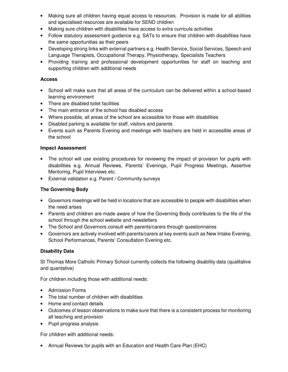- Making sure all children having equal access to resources. Provision is made for all abilities and specialised resources are available for SEND children
- Making sure children with disabilities have access to extra curricula activities
- Follow statutory assessment guidance e.g. SATs to ensure that children with disabilities have the same opportunities as their peers
- Developing strong links with external partners e.g. Health Service, Social Services, Speech and Language Therapists, Occupational Therapy, Physiotherapy, Specialists Teachers
- Providing training and professional development opportunities for staff on teaching and supporting children with additional needs

#### **Access**

- School will make sure that all areas of the curriculum can be delivered within a school-based learning environment
- There are disabled toilet facilities
- The main entrance of the school has disabled access
- Where possible, all areas of the school are accessible for those with disabilities
- Disabled parking is available for staff, visitors and parents
- Events such as Parents Evening and meetings with teachers are held in accessible areas of the school

#### **Impact Assessment**

- The school will use existing procedures for reviewing the impact of provision for pupils with disabilities e.g. Annual Reviews, Parents' Evenings, Pupil Progress Meetings, Assertive Mentoring, Pupil Interviews etc.
- External validation e.g. Parent / Community surveys

## **The Governing Body**

- Governors meetings will be held in locations that are accessible to people with disabilities when the need arises
- Parents and children are made aware of how the Governing Body contributes to the life of the school through the school website and newsletters
- The School and Governors consult with parents/carers through questionnaires
- Governors are actively involved with parents/carers at key events such as New Intake Evening, School Performances, Parents' Consultation Evening etc.

## **Disability Data**

St Thomas More Catholic Primary School currently collects the following disability data (qualitative and quantative)

For children including those with additional needs:

- Admission Forms
- The total number of children with disabilities
- Home and contact details
- Outcomes of lesson observations to make sure that there is a consistent process for monitoring all teaching and provision
- Pupil progress analysis

For children with additional needs:

• Annual Reviews for pupils with an Education and Health Care Plan (EHC)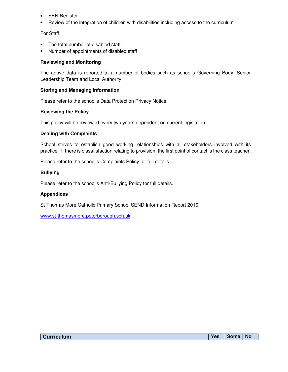- **SEN Register**
- Review of the integration of children with disabilities including access to the curriculum

For Staff:

- The total number of disabled staff
- Number of appointments of disabled staff

# **Reviewing and Monitoring**

The above data is reported to a number of bodies such as school's Governing Body, Senior Leadership Team and Local Authority

# **Storing and Managing Information**

Please refer to the school's Data Protection Privacy Notice

## **Reviewing the Policy**

This policy will be reviewed every two years dependent on current legislation

#### **Dealing with Complaints**

School strives to establish good working relationships with all stakeholders involved with its practice. If there is dissatisfaction relating to provision, the first point of contact is the class teacher.

Please refer to the school's Complaints Policy for full details.

## **Bullying**

Please refer to the school's Anti-Bullying Policy for full details.

## **Appendices**

St Thomas More Catholic Primary School SEND Information Report 2016

www.st-thomasmore.peterborough.sch.uk